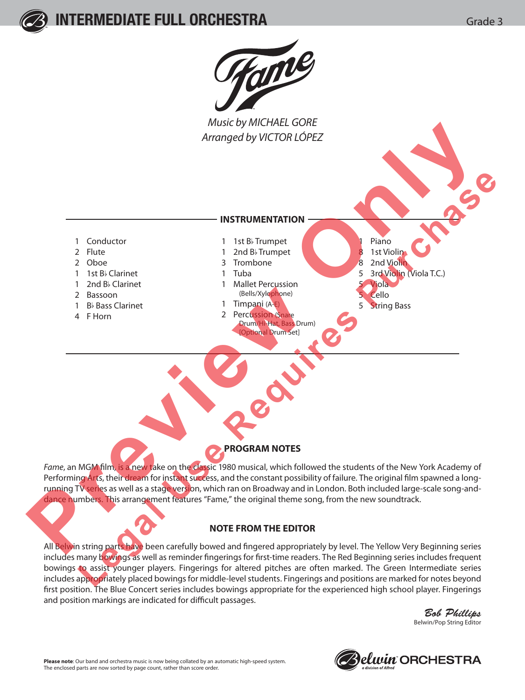

# **INTERMEDIATE FULL ORCHESTRA**



## **PROGRAM NOTES**

Fame, an MGM film, is a new take on the classic 1980 musical, which followed the students of the New York Academy of Performing Arts, their dream for instant success, and the constant possibility of failure. The original film spawned a longrunning TV series as well as a stage version, which ran on Broadway and in London. Both included large-scale song-anddance numbers. This arrangement features "Fame," the original theme song, from the new soundtrack.

## **NOTE FROM THE EDITOR**

All Belwin string parts have been carefully bowed and fingered appropriately by level. The Yellow Very Beginning series includes many bowings as well as reminder fingerings for first-time readers. The Red Beginning series includes frequent bowings to assist younger players. Fingerings for altered pitches are often marked. The Green Intermediate series includes appropriately placed bowings for middle-level students. Fingerings and positions are marked for notes beyond first position. The Blue Concert series includes bowings appropriate for the experienced high school player. Fingerings and position markings are indicated for difficult passages.

> *Bob Phillips* Belwin/Pop String Editor

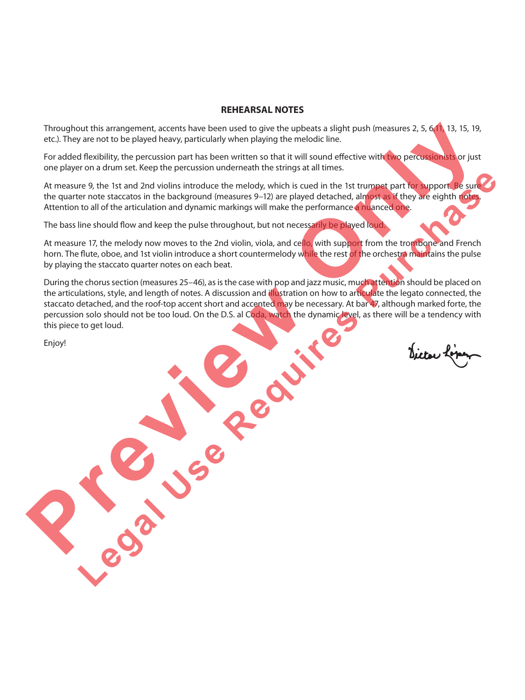### **REHEARSAL NOTES**

Throughout this arrangement, accents have been used to give the upbeats a slight push (measures 2, 5, 6,11, 13, 15, 19, etc.). They are not to be played heavy, particularly when playing the melodic line.

For added flexibility, the percussion part has been written so that it will sound effective with two percussionists or just one player on a drum set. Keep the percussion underneath the strings at all times.

At measure 9, the 1st and 2nd violins introduce the melody, which is cued in the 1st trumpet part for support. Be sure the quarter note staccatos in the background (measures 9–12) are played detached, almost as if they are eighth notes Attention to all of the articulation and dynamic markings will make the performance a nuanced one.

The bass line should flow and keep the pulse throughout, but not necessarily be played loud.

At measure 17, the melody now moves to the 2nd violin, viola, and cello, with support from the trombone and French horn. The flute, oboe, and 1st violin introduce a short countermelody while the rest of the orchestra maintains the pulse by playing the staccato quarter notes on each beat.

During the chorus section (measures 25–46), as is the case with pop and jazz music, much attention should be placed on the articulations, style, and length of notes. A discussion and illustration on how to articulate the legato connected, the staccato detached, and the roof-top accent short and accented may be necessary. At bar 47, although marked forte, the percussion solo should not be too loud. On the D.S. al Coda, watch the dynamic level, as there will be a tendency with this piece to get loud. Throughout this amagement, accents have been used to give the upstatt adjoint public theorem. The specifical preview of the strength of the strength of the strength of the strength of the second of the precision part has b Ire sh the backdosi in the backdosi introduce the metody, which is cued in the lat turning part to appoint be sure in the calculation and dynamic marking shull able to except the particulation and dynamic marking shull mak

Enjoy!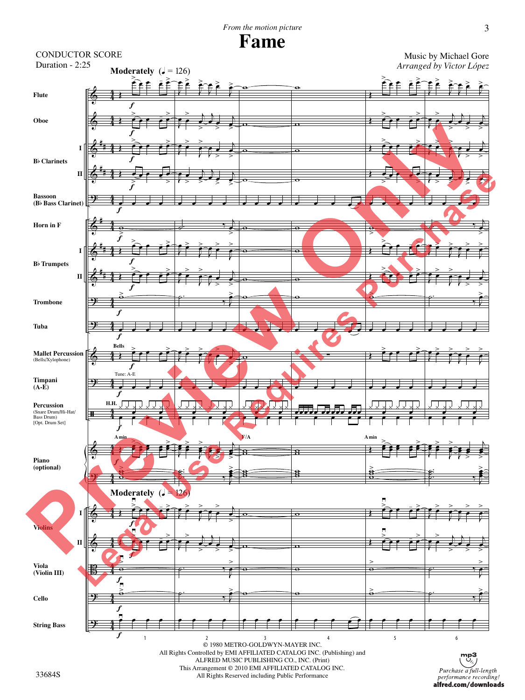#### *From the motion picture*



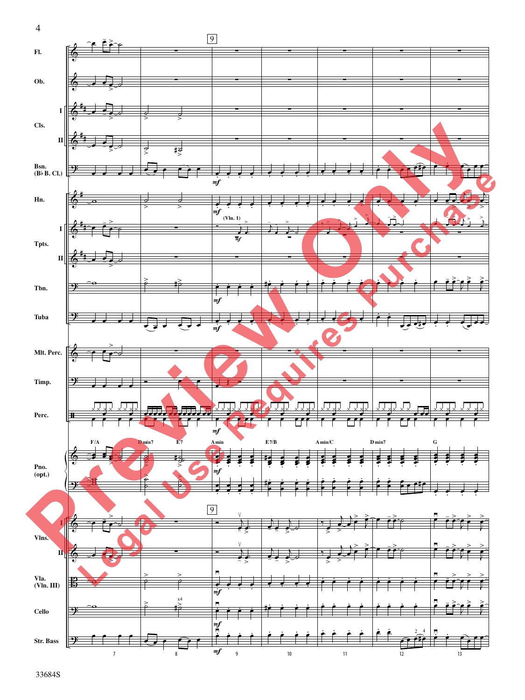

33684S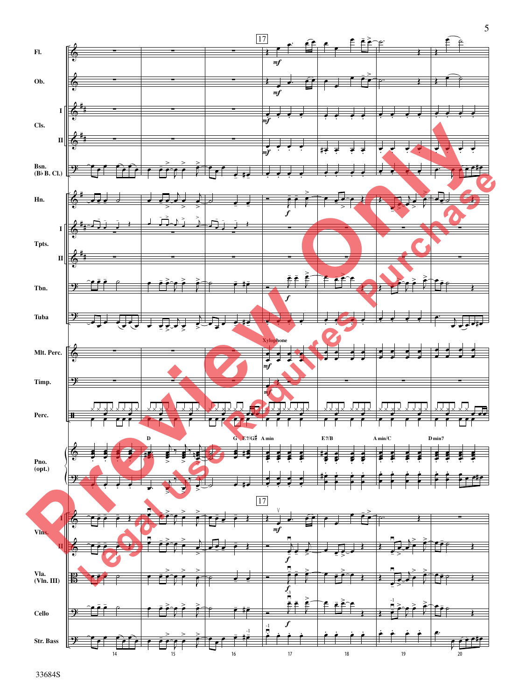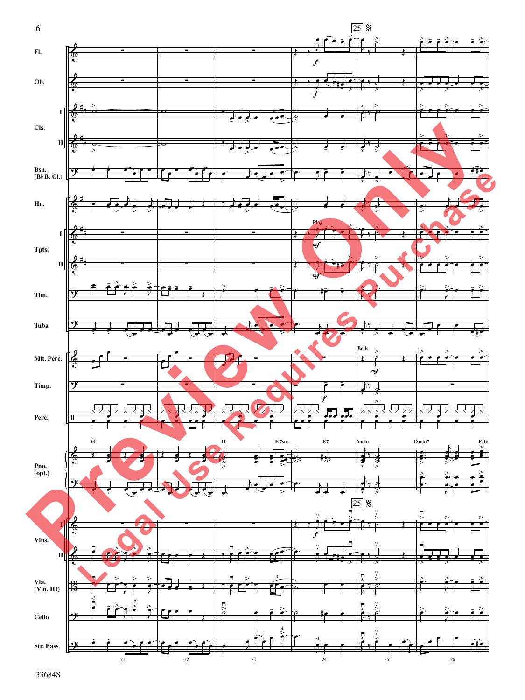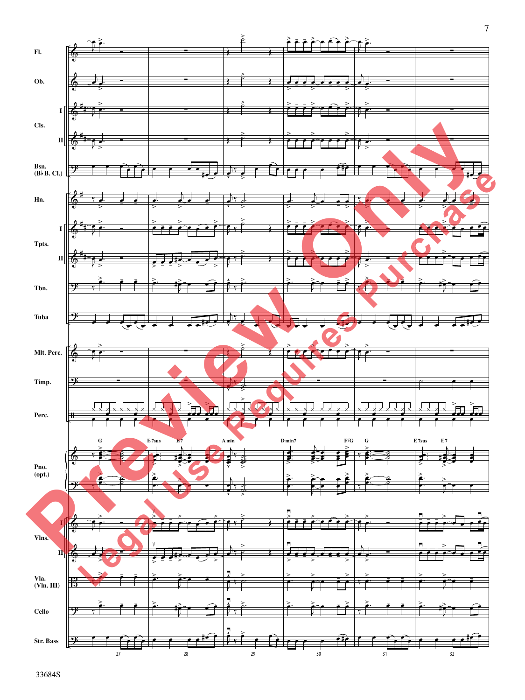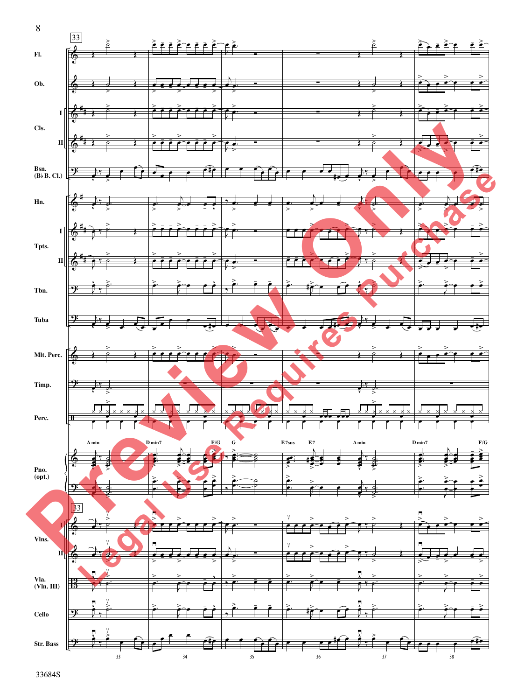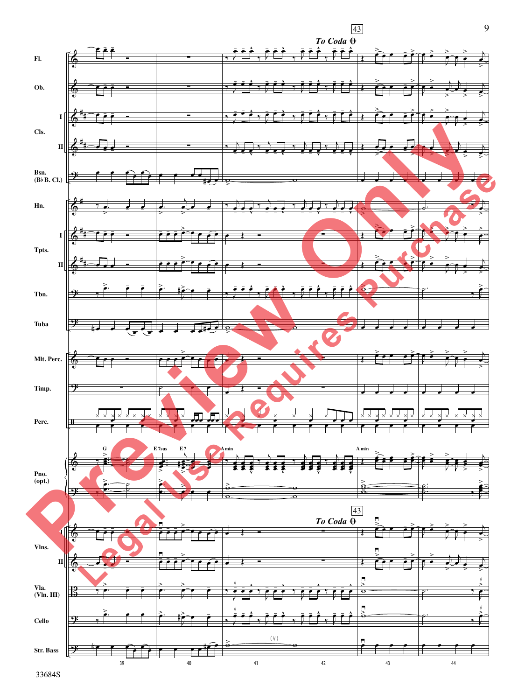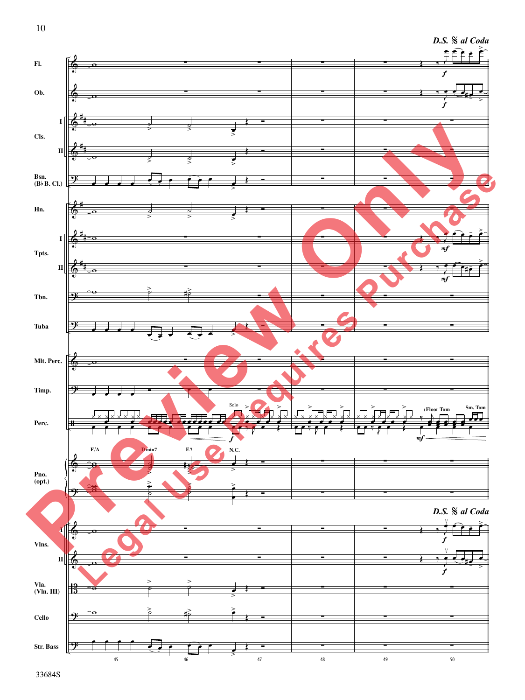

10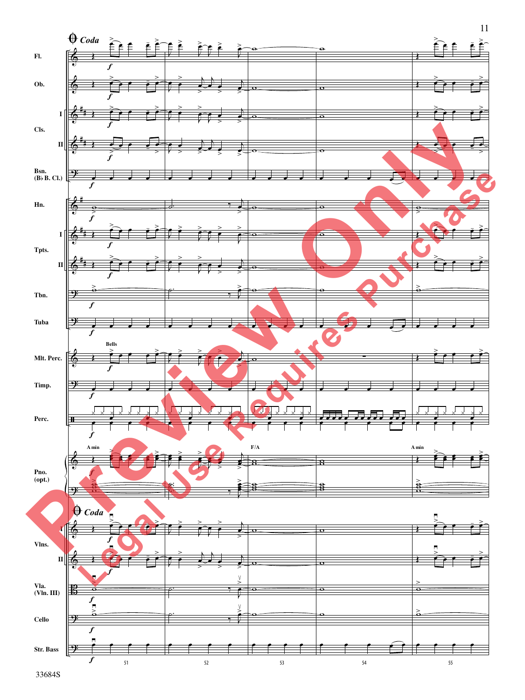

33684S

11